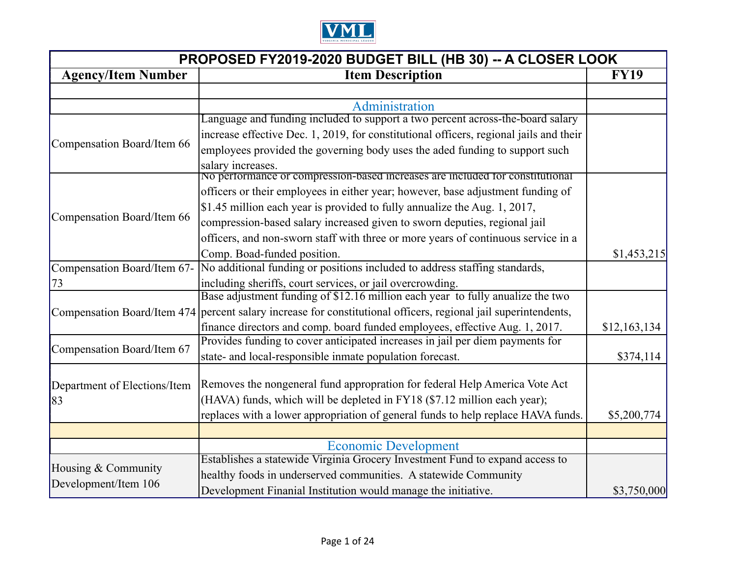

| PROPOSED FY2019-2020 BUDGET BILL (HB 30) -- A CLOSER LOOK |                                                                                                                 |              |
|-----------------------------------------------------------|-----------------------------------------------------------------------------------------------------------------|--------------|
| <b>Agency/Item Number</b>                                 | <b>Item Description</b>                                                                                         |              |
|                                                           |                                                                                                                 |              |
|                                                           | Administration                                                                                                  |              |
|                                                           | Language and funding included to support a two percent across-the-board salary                                  |              |
|                                                           | increase effective Dec. 1, 2019, for constitutional officers, regional jails and their                          |              |
| Compensation Board/Item 66                                | employees provided the governing body uses the aded funding to support such                                     |              |
|                                                           | salary increases.<br>No performance or compression-based increases are included for constitutional              |              |
|                                                           | officers or their employees in either year; however, base adjustment funding of                                 |              |
|                                                           | \$1.45 million each year is provided to fully annualize the Aug. 1, 2017,                                       |              |
| Compensation Board/Item 66                                | compression-based salary increased given to sworn deputies, regional jail                                       |              |
|                                                           | officers, and non-sworn staff with three or more years of continuous service in a                               |              |
|                                                           | Comp. Boad-funded position.                                                                                     | \$1,453,215  |
|                                                           | Compensation Board/Item 67- No additional funding or positions included to address staffing standards,          |              |
| 73                                                        | including sheriffs, court services, or jail overcrowding.                                                       |              |
|                                                           | Base adjustment funding of \$12.16 million each year to fully anualize the two                                  |              |
|                                                           | Compensation Board/Item 474 percent salary increase for constitutional officers, regional jail superintendents, |              |
|                                                           | finance directors and comp. board funded employees, effective Aug. 1, 2017.                                     | \$12,163,134 |
|                                                           | Provides funding to cover anticipated increases in jail per diem payments for                                   |              |
| Compensation Board/Item 67                                | state- and local-responsible inmate population forecast.                                                        | \$374,114    |
|                                                           | Removes the nongeneral fund appropration for federal Help America Vote Act                                      |              |
| Department of Elections/Item                              | (HAVA) funds, which will be depleted in FY18 (\$7.12 million each year);                                        |              |
| 83                                                        |                                                                                                                 |              |
|                                                           | replaces with a lower appropriation of general funds to help replace HAVA funds.                                | \$5,200,774  |
|                                                           |                                                                                                                 |              |
|                                                           | <b>Economic Development</b>                                                                                     |              |
| Housing & Community                                       | Establishes a statewide Virginia Grocery Investment Fund to expand access to                                    |              |
| Development/Item 106                                      | healthy foods in underserved communities. A statewide Community                                                 |              |
|                                                           | Development Finanial Institution would manage the initiative.                                                   | \$3,750,000  |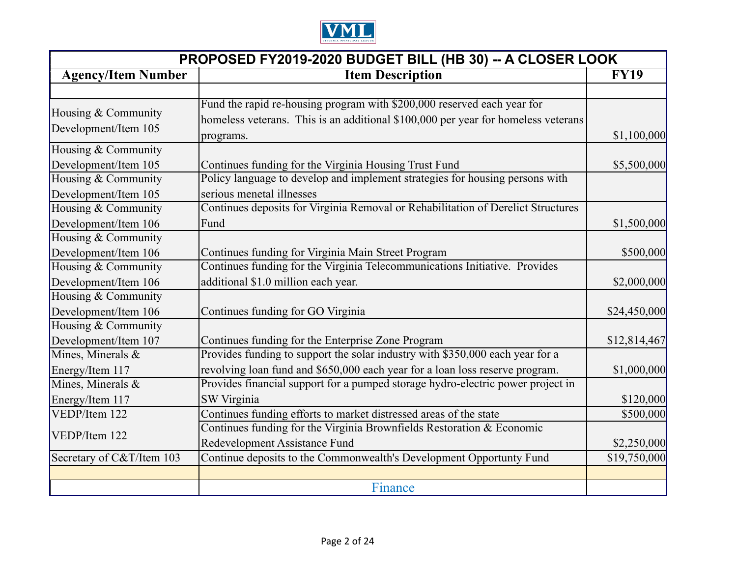

| PROPOSED FY2019-2020 BUDGET BILL (HB 30) -- A CLOSER LOOK |                                                                                                                                                                           |              |
|-----------------------------------------------------------|---------------------------------------------------------------------------------------------------------------------------------------------------------------------------|--------------|
| <b>Agency/Item Number</b><br><b>Item Description</b>      |                                                                                                                                                                           | <b>FY19</b>  |
|                                                           |                                                                                                                                                                           |              |
| Housing & Community<br>Development/Item 105               | Fund the rapid re-housing program with \$200,000 reserved each year for<br>homeless veterans. This is an additional \$100,000 per year for homeless veterans<br>programs. | \$1,100,000  |
| Housing & Community                                       |                                                                                                                                                                           |              |
| Development/Item 105                                      | Continues funding for the Virginia Housing Trust Fund                                                                                                                     | \$5,500,000  |
| Housing & Community                                       | Policy language to develop and implement strategies for housing persons with                                                                                              |              |
| Development/Item 105                                      | serious menetal illnesses                                                                                                                                                 |              |
| Housing & Community                                       | Continues deposits for Virginia Removal or Rehabilitation of Derelict Structures                                                                                          |              |
| Development/Item 106                                      | Fund                                                                                                                                                                      | \$1,500,000  |
| Housing & Community                                       |                                                                                                                                                                           |              |
| Development/Item 106                                      | Continues funding for Virginia Main Street Program                                                                                                                        | \$500,000    |
| Housing & Community                                       | Continues funding for the Virginia Telecommunications Initiative. Provides                                                                                                |              |
| Development/Item 106                                      | additional \$1.0 million each year.                                                                                                                                       | \$2,000,000  |
| Housing & Community                                       |                                                                                                                                                                           |              |
| Development/Item 106                                      | Continues funding for GO Virginia                                                                                                                                         | \$24,450,000 |
| Housing & Community                                       |                                                                                                                                                                           |              |
| Development/Item 107                                      | Continues funding for the Enterprise Zone Program                                                                                                                         | \$12,814,467 |
| Mines, Minerals &                                         | Provides funding to support the solar industry with \$350,000 each year for a                                                                                             |              |
| Energy/Item 117                                           | revolving loan fund and \$650,000 each year for a loan loss reserve program.                                                                                              | \$1,000,000  |
| Mines, Minerals &                                         | Provides financial support for a pumped storage hydro-electric power project in                                                                                           |              |
| Energy/Item 117                                           | SW Virginia                                                                                                                                                               | \$120,000    |
| VEDP/Item 122                                             | Continues funding efforts to market distressed areas of the state                                                                                                         | \$500,000    |
|                                                           | Continues funding for the Virginia Brownfields Restoration & Economic                                                                                                     |              |
| VEDP/Item 122                                             | Redevelopment Assistance Fund                                                                                                                                             | \$2,250,000  |
| Secretary of C&T/Item 103                                 | Continue deposits to the Commonwealth's Development Opportunty Fund                                                                                                       | \$19,750,000 |
|                                                           |                                                                                                                                                                           |              |
|                                                           | Finance                                                                                                                                                                   |              |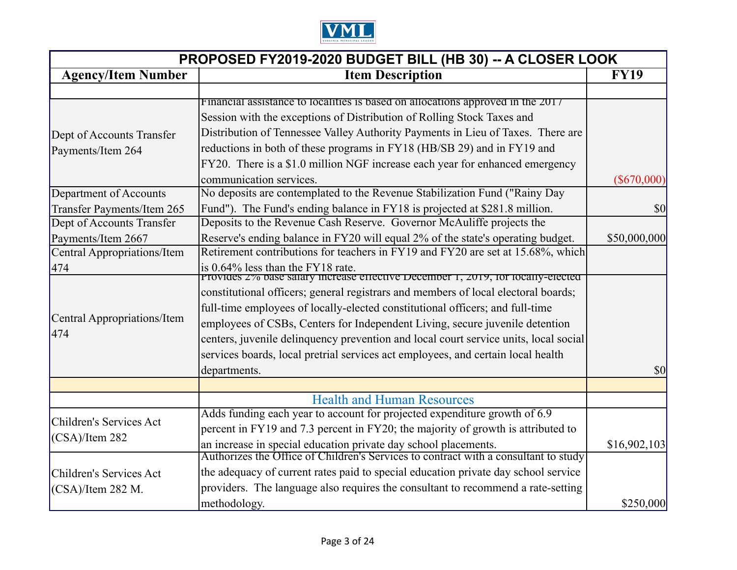

| PROPOSED FY2019-2020 BUDGET BILL (HB 30) -- A CLOSER LOOK |                                                                                      |               |
|-----------------------------------------------------------|--------------------------------------------------------------------------------------|---------------|
| <b>Item Description</b><br><b>Agency/Item Number</b>      |                                                                                      | <b>FY19</b>   |
|                                                           |                                                                                      |               |
|                                                           | Financial assistance to localities is based on allocations approved in the 2017      |               |
|                                                           | Session with the exceptions of Distribution of Rolling Stock Taxes and               |               |
| Dept of Accounts Transfer                                 | Distribution of Tennessee Valley Authority Payments in Lieu of Taxes. There are      |               |
| Payments/Item 264                                         | reductions in both of these programs in FY18 (HB/SB 29) and in FY19 and              |               |
|                                                           | FY20. There is a \$1.0 million NGF increase each year for enhanced emergency         |               |
|                                                           | communication services.                                                              | $(\$670,000)$ |
| Department of Accounts                                    | No deposits are contemplated to the Revenue Stabilization Fund ("Rainy Day           |               |
| Transfer Payments/Item 265                                | Fund"). The Fund's ending balance in FY18 is projected at \$281.8 million.           | \$0           |
| Dept of Accounts Transfer                                 | Deposits to the Revenue Cash Reserve. Governor McAuliffe projects the                |               |
| Payments/Item 2667                                        | Reserve's ending balance in FY20 will equal 2% of the state's operating budget.      | \$50,000,000  |
| Central Appropriations/Item                               | Retirement contributions for teachers in FY19 and FY20 are set at 15.68%, which      |               |
| 474                                                       | is 0.64% less than the FY18 rate.                                                    |               |
|                                                           | Provides 2% base salary increase effective December 1, 2019, for locally-elected     |               |
|                                                           | constitutional officers; general registrars and members of local electoral boards;   |               |
| Central Appropriations/Item                               | full-time employees of locally-elected constitutional officers; and full-time        |               |
| 474                                                       | employees of CSBs, Centers for Independent Living, secure juvenile detention         |               |
|                                                           | centers, juvenile delinquency prevention and local court service units, local social |               |
|                                                           | services boards, local pretrial services act employees, and certain local health     |               |
|                                                           | departments.                                                                         | $\vert$ \$0   |
|                                                           |                                                                                      |               |
|                                                           | <b>Health and Human Resources</b>                                                    |               |
| Children's Services Act                                   | Adds funding each year to account for projected expenditure growth of 6.9            |               |
| $(CSA)/I$ tem 282                                         | percent in FY19 and 7.3 percent in FY20; the majority of growth is attributed to     |               |
|                                                           | an increase in special education private day school placements.                      | \$16,902,103  |
|                                                           | Authorizes the Office of Children's Services to contract with a consultant to study  |               |
| Children's Services Act                                   | the adequacy of current rates paid to special education private day school service   |               |
| $(CSA)/I$ tem 282 M.                                      | providers. The language also requires the consultant to recommend a rate-setting     |               |
|                                                           | methodology.                                                                         | \$250,000     |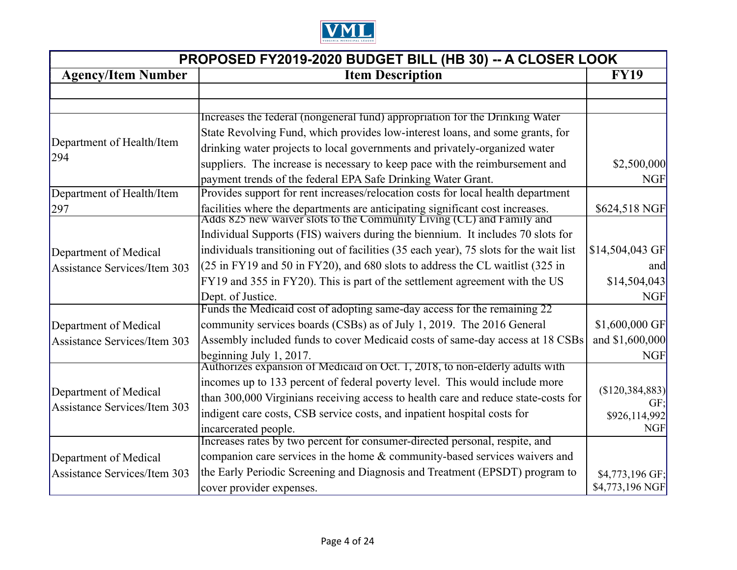

| PROPOSED FY2019-2020 BUDGET BILL (HB 30) -- A CLOSER LOOK |                                                                                                                                                        |                         |
|-----------------------------------------------------------|--------------------------------------------------------------------------------------------------------------------------------------------------------|-------------------------|
| <b>Agency/Item Number</b><br><b>Item Description</b>      |                                                                                                                                                        |                         |
|                                                           |                                                                                                                                                        |                         |
|                                                           |                                                                                                                                                        |                         |
|                                                           | Increases the federal (nongeneral fund) appropriation for the Drinking Water                                                                           |                         |
| Department of Health/Item                                 | State Revolving Fund, which provides low-interest loans, and some grants, for                                                                          |                         |
| 294                                                       | drinking water projects to local governments and privately-organized water                                                                             |                         |
|                                                           | suppliers. The increase is necessary to keep pace with the reimbursement and                                                                           | \$2,500,000             |
|                                                           | payment trends of the federal EPA Safe Drinking Water Grant.                                                                                           | <b>NGF</b>              |
| Department of Health/Item                                 | Provides support for rent increases/relocation costs for local health department                                                                       |                         |
| 297                                                       | facilities where the departments are anticipating significant cost increases.<br>Adds 825 new waiver slots to the Community Living (CL) and Family and | \$624,518 NGF           |
|                                                           |                                                                                                                                                        |                         |
|                                                           | Individual Supports (FIS) waivers during the biennium. It includes 70 slots for                                                                        |                         |
| Department of Medical                                     | individuals transitioning out of facilities (35 each year), 75 slots for the wait list                                                                 | \$14,504,043 GF         |
| Assistance Services/Item 303                              | (25 in FY19 and 50 in FY20), and 680 slots to address the CL waitlist (325 in                                                                          | and                     |
|                                                           | FY19 and 355 in FY20). This is part of the settlement agreement with the US                                                                            | \$14,504,043            |
|                                                           | Dept. of Justice.                                                                                                                                      | <b>NGF</b>              |
|                                                           | Funds the Medicaid cost of adopting same-day access for the remaining 22                                                                               |                         |
| Department of Medical                                     | community services boards (CSBs) as of July 1, 2019. The 2016 General                                                                                  | $$1,600,000$ GF         |
| Assistance Services/Item 303                              | Assembly included funds to cover Medicaid costs of same-day access at 18 CSBs                                                                          | and \$1,600,000         |
|                                                           | beginning July $1, 2017$ .                                                                                                                             | <b>NGF</b>              |
|                                                           | Authorizes expansion of Medicald on Oct. 1, 2018, to non-elderly adults with                                                                           |                         |
|                                                           | incomes up to 133 percent of federal poverty level. This would include more                                                                            |                         |
| Department of Medical                                     | than 300,000 Virginians receiving access to health care and reduce state-costs for                                                                     | (S120, 384, 883)<br>GF: |
| <b>Assistance Services/Item 303</b>                       | indigent care costs, CSB service costs, and inpatient hospital costs for                                                                               | \$926,114,992           |
|                                                           | incarcerated people.                                                                                                                                   | <b>NGF</b>              |
|                                                           | Increases rates by two percent for consumer-directed personal, respite, and                                                                            |                         |
| Department of Medical                                     | companion care services in the home & community-based services waivers and                                                                             |                         |
| Assistance Services/Item 303                              | the Early Periodic Screening and Diagnosis and Treatment (EPSDT) program to                                                                            | \$4,773,196 GF;         |
|                                                           | cover provider expenses.                                                                                                                               | \$4,773,196 NGF         |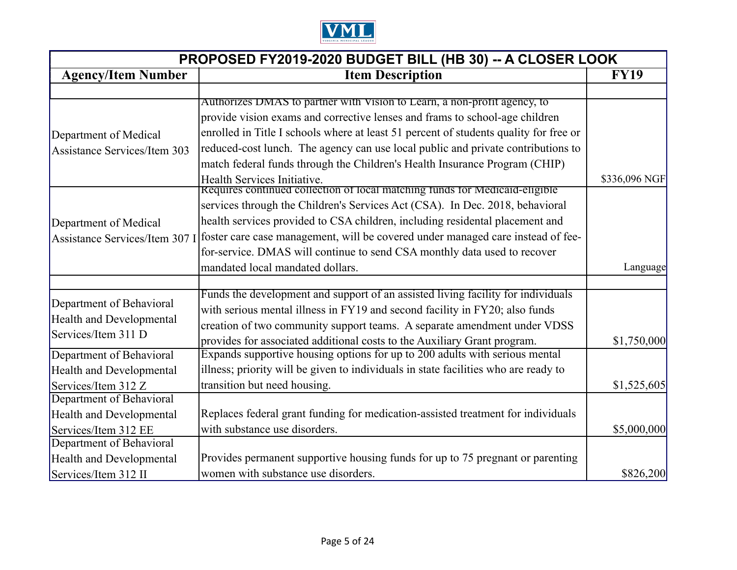

| PROPOSED FY2019-2020 BUDGET BILL (HB 30) -- A CLOSER LOOK |                                                                                                                |               |
|-----------------------------------------------------------|----------------------------------------------------------------------------------------------------------------|---------------|
| <b>Agency/Item Number</b>                                 | <b>Item Description</b>                                                                                        | <b>FY19</b>   |
|                                                           |                                                                                                                |               |
|                                                           | Authorizes DMAS to partner with Vision to Learn, a non-profit agency, to                                       |               |
|                                                           | provide vision exams and corrective lenses and frams to school-age children                                    |               |
| Department of Medical                                     | enrolled in Title I schools where at least 51 percent of students quality for free or                          |               |
| <b>Assistance Services/Item 303</b>                       | reduced-cost lunch. The agency can use local public and private contributions to                               |               |
|                                                           | match federal funds through the Children's Health Insurance Program (CHIP)                                     |               |
|                                                           | Health Services Initiative.                                                                                    | \$336,096 NGF |
|                                                           | Requires continued collection of local matching funds for Medicaid-eligible                                    |               |
|                                                           | services through the Children's Services Act (CSA). In Dec. 2018, behavioral                                   |               |
| Department of Medical                                     | health services provided to CSA children, including residental placement and                                   |               |
|                                                           | Assistance Services/Item 307 I foster care case management, will be covered under managed care instead of fee- |               |
|                                                           | for-service. DMAS will continue to send CSA monthly data used to recover                                       |               |
|                                                           | mandated local mandated dollars.                                                                               | Language      |
|                                                           |                                                                                                                |               |
| Department of Behavioral                                  | Funds the development and support of an assisted living facility for individuals                               |               |
|                                                           | with serious mental illness in FY19 and second facility in FY20; also funds                                    |               |
| <b>Health and Developmental</b><br>Services/Item 311 D    | creation of two community support teams. A separate amendment under VDSS                                       |               |
|                                                           | provides for associated additional costs to the Auxiliary Grant program.                                       | \$1,750,000   |
| Department of Behavioral                                  | Expands supportive housing options for up to 200 adults with serious mental                                    |               |
| <b>Health and Developmental</b>                           | illness; priority will be given to individuals in state facilities who are ready to                            |               |
| Services/Item 312 Z                                       | transition but need housing.                                                                                   | \$1,525,605   |
| Department of Behavioral                                  |                                                                                                                |               |
| <b>Health and Developmental</b>                           | Replaces federal grant funding for medication-assisted treatment for individuals                               |               |
| Services/Item 312 EE                                      | with substance use disorders.                                                                                  | \$5,000,000   |
| Department of Behavioral                                  |                                                                                                                |               |
| <b>Health and Developmental</b>                           | Provides permanent supportive housing funds for up to 75 pregnant or parenting                                 |               |
| Services/Item 312 II                                      | women with substance use disorders.                                                                            | \$826,200     |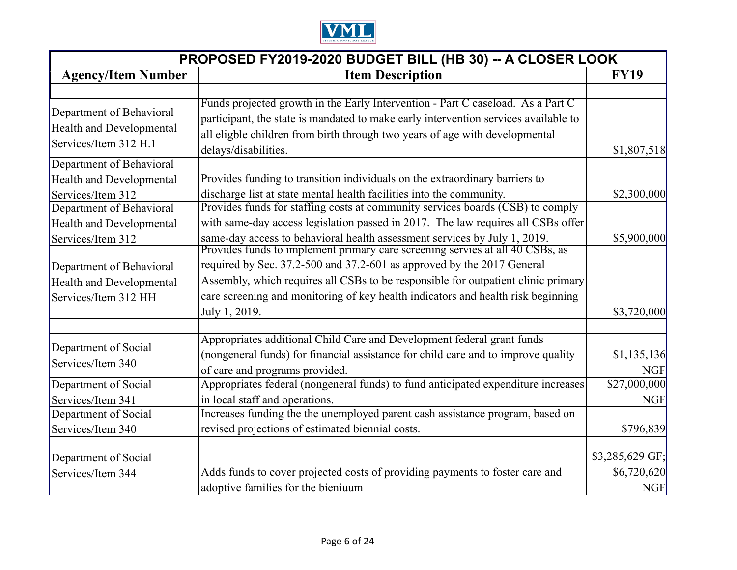

| PROPOSED FY2019-2020 BUDGET BILL (HB 30) -- A CLOSER LOOK                            |                                                                                                                                                                                                                                                                               |                           |
|--------------------------------------------------------------------------------------|-------------------------------------------------------------------------------------------------------------------------------------------------------------------------------------------------------------------------------------------------------------------------------|---------------------------|
| <b>Agency/Item Number</b>                                                            | <b>Item Description</b>                                                                                                                                                                                                                                                       | <b>FY19</b>               |
|                                                                                      |                                                                                                                                                                                                                                                                               |                           |
| Department of Behavioral<br><b>Health and Developmental</b><br>Services/Item 312 H.1 | Funds projected growth in the Early Intervention - Part C caseload. As a Part C<br>participant, the state is mandated to make early intervention services available to<br>all eligble children from birth through two years of age with developmental<br>delays/disabilities. | \$1,807,518               |
| Department of Behavioral                                                             |                                                                                                                                                                                                                                                                               |                           |
| <b>Health and Developmental</b><br>Services/Item 312                                 | Provides funding to transition individuals on the extraordinary barriers to<br>discharge list at state mental health facilities into the community.                                                                                                                           | \$2,300,000               |
| Department of Behavioral<br><b>Health and Developmental</b>                          | Provides funds for staffing costs at community services boards (CSB) to comply<br>with same-day access legislation passed in 2017. The law requires all CSBs offer                                                                                                            |                           |
| Services/Item 312                                                                    | same-day access to behavioral health assessment services by July 1, 2019.<br>Provides funds to implement primary care screening servies at all 40 CSBs, as                                                                                                                    | \$5,900,000               |
| Department of Behavioral                                                             | required by Sec. 37.2-500 and 37.2-601 as approved by the 2017 General                                                                                                                                                                                                        |                           |
| <b>Health and Developmental</b>                                                      | Assembly, which requires all CSBs to be responsible for outpatient clinic primary                                                                                                                                                                                             |                           |
| Services/Item 312 HH                                                                 | care screening and monitoring of key health indicators and health risk beginning<br>July 1, 2019.                                                                                                                                                                             | \$3,720,000               |
|                                                                                      | Appropriates additional Child Care and Development federal grant funds                                                                                                                                                                                                        |                           |
| Department of Social<br>Services/Item 340                                            | (nongeneral funds) for financial assistance for child care and to improve quality<br>of care and programs provided.                                                                                                                                                           | \$1,135,136<br><b>NGF</b> |
| Department of Social                                                                 | Appropriates federal (nongeneral funds) to fund anticipated expenditure increases                                                                                                                                                                                             | \$27,000,000              |
| Services/Item 341                                                                    | in local staff and operations.                                                                                                                                                                                                                                                | <b>NGF</b>                |
| Department of Social                                                                 | Increases funding the the unemployed parent cash assistance program, based on                                                                                                                                                                                                 |                           |
| Services/Item 340                                                                    | revised projections of estimated biennial costs.                                                                                                                                                                                                                              | \$796,839                 |
| Department of Social                                                                 |                                                                                                                                                                                                                                                                               | \$3,285,629 GF;           |
| Services/Item 344                                                                    | Adds funds to cover projected costs of providing payments to foster care and<br>adoptive families for the bieniuum                                                                                                                                                            | \$6,720,620<br><b>NGF</b> |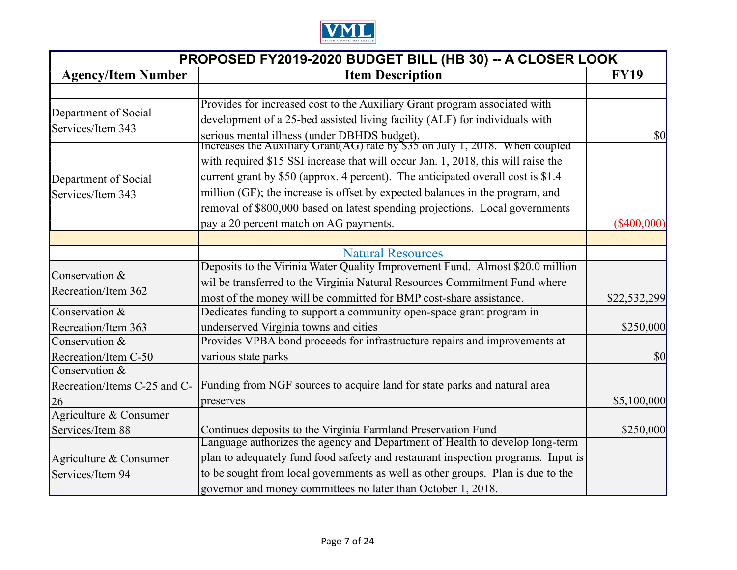

| PROPOSED FY2019-2020 BUDGET BILL (HB 30) -- A CLOSER LOOK |                                                                                                                              |                                     |
|-----------------------------------------------------------|------------------------------------------------------------------------------------------------------------------------------|-------------------------------------|
| <b>Agency/Item Number</b>                                 | <b>Item Description</b>                                                                                                      | <b>FY19</b>                         |
|                                                           |                                                                                                                              |                                     |
| Department of Social                                      | Provides for increased cost to the Auxiliary Grant program associated with                                                   |                                     |
| Services/Item 343                                         | development of a 25-bed assisted living facility (ALF) for individuals with                                                  |                                     |
|                                                           | serious mental illness (under DBHDS budget).<br>Increases the Auxiliary Grant(AG) rate by \$35 on July 1, 2018. When coupled | $\vert \mathbf{S} \mathbf{0} \vert$ |
|                                                           |                                                                                                                              |                                     |
|                                                           | with required \$15 SSI increase that will occur Jan. 1, 2018, this will raise the                                            |                                     |
| Department of Social                                      | current grant by \$50 (approx. 4 percent). The anticipated overall cost is \$1.4                                             |                                     |
| Services/Item 343                                         | million (GF); the increase is offset by expected balances in the program, and                                                |                                     |
|                                                           | removal of \$800,000 based on latest spending projections. Local governments                                                 |                                     |
|                                                           | pay a 20 percent match on AG payments.                                                                                       | $(\$400,000)$                       |
|                                                           |                                                                                                                              |                                     |
|                                                           | <b>Natural Resources</b>                                                                                                     |                                     |
| Conservation &                                            | Deposits to the Virinia Water Quality Improvement Fund. Almost \$20.0 million                                                |                                     |
| Recreation/Item 362                                       | wil be transferred to the Virginia Natural Resources Commitment Fund where                                                   |                                     |
|                                                           | most of the money will be committed for BMP cost-share assistance.                                                           | \$22,532,299                        |
| Conservation &                                            | Dedicates funding to support a community open-space grant program in                                                         |                                     |
| Recreation/Item 363                                       | underserved Virginia towns and cities                                                                                        | \$250,000                           |
| Conservation &                                            | Provides VPBA bond proceeds for infrastructure repairs and improvements at                                                   |                                     |
| Recreation/Item C-50                                      | various state parks                                                                                                          | \$0                                 |
| Conservation &                                            |                                                                                                                              |                                     |
| Recreation/Items C-25 and C-                              | Funding from NGF sources to acquire land for state parks and natural area                                                    |                                     |
| 26                                                        | preserves                                                                                                                    | \$5,100,000                         |
| Agriculture & Consumer                                    |                                                                                                                              |                                     |
| Services/Item 88                                          | Continues deposits to the Virginia Farmland Preservation Fund                                                                | \$250,000                           |
|                                                           | Language authorizes the agency and Department of Health to develop long-term                                                 |                                     |
| Agriculture & Consumer                                    | plan to adequately fund food safeety and restaurant inspection programs. Input is                                            |                                     |
| Services/Item 94                                          | to be sought from local governments as well as other groups. Plan is due to the                                              |                                     |
|                                                           | governor and money committees no later than October 1, 2018.                                                                 |                                     |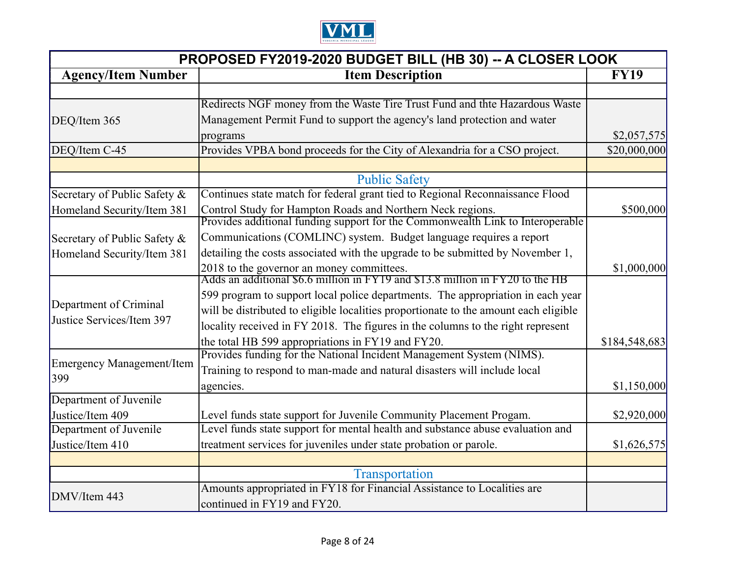

| PROPOSED FY2019-2020 BUDGET BILL (HB 30) -- A CLOSER LOOK |                                                                                                                            |               |
|-----------------------------------------------------------|----------------------------------------------------------------------------------------------------------------------------|---------------|
| <b>Agency/Item Number</b>                                 | <b>Item Description</b>                                                                                                    |               |
|                                                           |                                                                                                                            |               |
|                                                           | Redirects NGF money from the Waste Tire Trust Fund and thte Hazardous Waste                                                |               |
| DEQ/Item 365                                              | Management Permit Fund to support the agency's land protection and water                                                   |               |
|                                                           | programs                                                                                                                   | \$2,057,575   |
| DEQ/Item C-45                                             | Provides VPBA bond proceeds for the City of Alexandria for a CSO project.                                                  | \$20,000,000  |
|                                                           |                                                                                                                            |               |
|                                                           | <b>Public Safety</b>                                                                                                       |               |
| Secretary of Public Safety &                              | Continues state match for federal grant tied to Regional Reconnaissance Flood                                              |               |
| Homeland Security/Item 381                                | Control Study for Hampton Roads and Northern Neck regions.                                                                 | \$500,000     |
|                                                           | Provides additional funding support for the Commonwealth Link to Interoperable                                             |               |
| Secretary of Public Safety &                              | Communications (COMLINC) system. Budget language requires a report                                                         |               |
| Homeland Security/Item 381                                | detailing the costs associated with the upgrade to be submitted by November 1,                                             |               |
|                                                           | 2018 to the governor an money committees.<br>Adds an additional \$6.6 million in FY19 and \$13.8 million in FY20 to the HB | \$1,000,000   |
|                                                           |                                                                                                                            |               |
|                                                           | 599 program to support local police departments. The appropriation in each year                                            |               |
| Department of Criminal                                    | will be distributed to eligible localities proportionate to the amount each eligible                                       |               |
| Justice Services/Item 397                                 | locality received in FY 2018. The figures in the columns to the right represent                                            |               |
|                                                           | the total HB 599 appropriations in FY19 and FY20.                                                                          | \$184,548,683 |
|                                                           | Provides funding for the National Incident Management System (NIMS).                                                       |               |
| Emergency Management/Item                                 | Training to respond to man-made and natural disasters will include local                                                   |               |
| 399                                                       | agencies.                                                                                                                  | \$1,150,000   |
| Department of Juvenile                                    |                                                                                                                            |               |
| Justice/Item 409                                          | Level funds state support for Juvenile Community Placement Progam.                                                         | \$2,920,000   |
| Department of Juvenile                                    | Level funds state support for mental health and substance abuse evaluation and                                             |               |
| Justice/Item 410                                          | treatment services for juveniles under state probation or parole.                                                          | \$1,626,575   |
|                                                           |                                                                                                                            |               |
|                                                           | Transportation                                                                                                             |               |
| DMV/Item 443                                              | Amounts appropriated in FY18 for Financial Assistance to Localities are                                                    |               |
|                                                           | continued in FY19 and FY20.                                                                                                |               |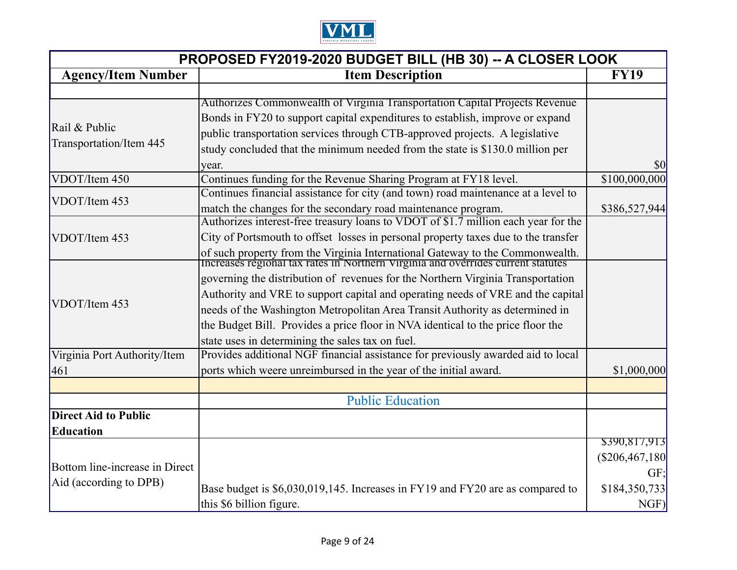

| PROPOSED FY2019-2020 BUDGET BILL (HB 30) -- A CLOSER LOOK |                                                                                                                                                                   |                |
|-----------------------------------------------------------|-------------------------------------------------------------------------------------------------------------------------------------------------------------------|----------------|
| <b>Item Description</b><br><b>Agency/Item Number</b>      |                                                                                                                                                                   |                |
|                                                           |                                                                                                                                                                   |                |
|                                                           | Authorizes Commonwealth of Virginia Transportation Capital Projects Revenue                                                                                       |                |
| Rail & Public                                             | Bonds in FY20 to support capital expenditures to establish, improve or expand                                                                                     |                |
| Transportation/Item 445                                   | public transportation services through CTB-approved projects. A legislative                                                                                       |                |
|                                                           | study concluded that the minimum needed from the state is \$130.0 million per                                                                                     |                |
|                                                           | year.                                                                                                                                                             | \$0            |
| VDOT/Item 450                                             | Continues funding for the Revenue Sharing Program at FY18 level.                                                                                                  | \$100,000,000  |
| VDOT/Item 453                                             | Continues financial assistance for city (and town) road maintenance at a level to                                                                                 |                |
|                                                           | match the changes for the secondary road maintenance program.                                                                                                     | \$386,527,944  |
|                                                           | Authorizes interest-free treasury loans to VDOT of \$1.7 million each year for the                                                                                |                |
| VDOT/Item 453                                             | City of Portsmouth to offset losses in personal property taxes due to the transfer                                                                                |                |
|                                                           | of such property from the Virginia International Gateway to the Commonwealth.<br>Increases regional tax rates in Northern Virginia and overrides current statutes |                |
|                                                           |                                                                                                                                                                   |                |
|                                                           | governing the distribution of revenues for the Northern Virginia Transportation                                                                                   |                |
| VDOT/Item 453                                             | Authority and VRE to support capital and operating needs of VRE and the capital                                                                                   |                |
|                                                           | needs of the Washington Metropolitan Area Transit Authority as determined in                                                                                      |                |
|                                                           | the Budget Bill. Provides a price floor in NVA identical to the price floor the                                                                                   |                |
|                                                           | state uses in determining the sales tax on fuel.                                                                                                                  |                |
| Virginia Port Authority/Item                              | Provides additional NGF financial assistance for previously awarded aid to local                                                                                  |                |
| 461                                                       | ports which weere unreimbursed in the year of the initial award.                                                                                                  | \$1,000,000    |
|                                                           |                                                                                                                                                                   |                |
|                                                           | <b>Public Education</b>                                                                                                                                           |                |
| <b>Direct Aid to Public</b>                               |                                                                                                                                                                   |                |
| Education                                                 |                                                                                                                                                                   |                |
|                                                           |                                                                                                                                                                   | \$390,817,913  |
| Bottom line-increase in Direct                            |                                                                                                                                                                   | (\$206,467,180 |
| Aid (according to DPB)                                    |                                                                                                                                                                   | GF:            |
|                                                           | Base budget is \$6,030,019,145. Increases in FY19 and FY20 are as compared to                                                                                     | \$184,350,733  |
|                                                           | this \$6 billion figure.                                                                                                                                          | NGF)           |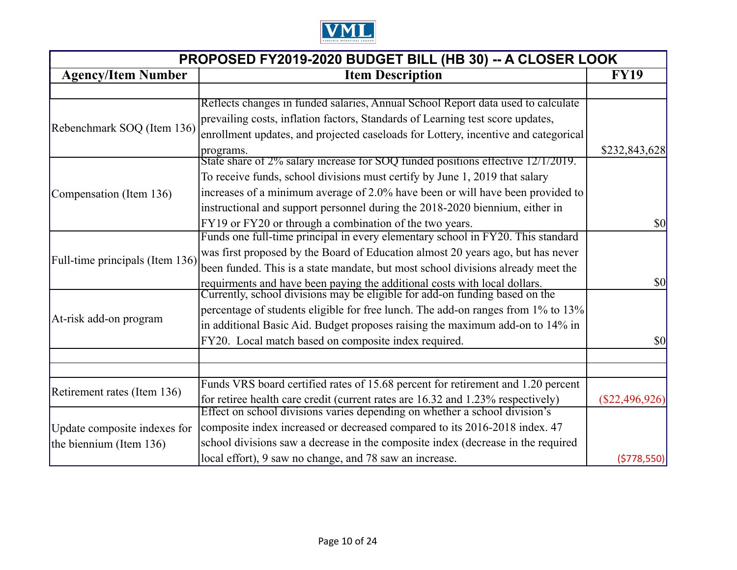

| PROPOSED FY2019-2020 BUDGET BILL (HB 30) -- A CLOSER LOOK |                                                                                                                                                            |                                        |
|-----------------------------------------------------------|------------------------------------------------------------------------------------------------------------------------------------------------------------|----------------------------------------|
| <b>Agency/Item Number</b>                                 | <b>Item Description</b>                                                                                                                                    |                                        |
|                                                           |                                                                                                                                                            |                                        |
|                                                           | Reflects changes in funded salaries, Annual School Report data used to calculate                                                                           |                                        |
|                                                           | prevailing costs, inflation factors, Standards of Learning test score updates,                                                                             |                                        |
| Rebenchmark SOQ (Item 136)                                | enrollment updates, and projected caseloads for Lottery, incentive and categorical                                                                         |                                        |
|                                                           | programs.                                                                                                                                                  | \$232,843,628                          |
|                                                           | State share of 2% salary increase for SOQ funded positions effective 12/1/2019.                                                                            |                                        |
|                                                           | To receive funds, school divisions must certify by June 1, 2019 that salary                                                                                |                                        |
| Compensation (Item 136)                                   | increases of a minimum average of 2.0% have been or will have been provided to                                                                             |                                        |
|                                                           | instructional and support personnel during the 2018-2020 biennium, either in                                                                               |                                        |
|                                                           | FY19 or FY20 or through a combination of the two years.                                                                                                    | \$0                                    |
|                                                           | Funds one full-time principal in every elementary school in FY20. This standard                                                                            |                                        |
|                                                           | was first proposed by the Board of Education almost 20 years ago, but has never                                                                            |                                        |
| Full-time principals (Item 136)                           | been funded. This is a state mandate, but most school divisions already meet the                                                                           |                                        |
|                                                           |                                                                                                                                                            | \$0                                    |
|                                                           | requirments and have been paying the additional costs with local dollars.<br>Currently, school divisions may be eligible for add-on funding based on the   |                                        |
|                                                           | percentage of students eligible for free lunch. The add-on ranges from 1% to 13%                                                                           |                                        |
| At-risk add-on program                                    | in additional Basic Aid. Budget proposes raising the maximum add-on to 14% in                                                                              |                                        |
|                                                           | FY20. Local match based on composite index required.                                                                                                       | $\boldsymbol{\mathsf{S}}$ <sup>0</sup> |
|                                                           |                                                                                                                                                            |                                        |
|                                                           |                                                                                                                                                            |                                        |
|                                                           | Funds VRS board certified rates of 15.68 percent for retirement and 1.20 percent                                                                           |                                        |
| Retirement rates (Item 136)                               | for retiree health care credit (current rates are 16.32 and 1.23% respectively) Effect on school divisions varies depending on whether a school division's | $(\$22,496,926)$                       |
|                                                           |                                                                                                                                                            |                                        |
| Update composite indexes for                              | composite index increased or decreased compared to its 2016-2018 index. 47                                                                                 |                                        |
| the biennium (Item 136)                                   | school divisions saw a decrease in the composite index (decrease in the required                                                                           |                                        |
|                                                           | local effort), 9 saw no change, and 78 saw an increase.                                                                                                    | (5778, 550)                            |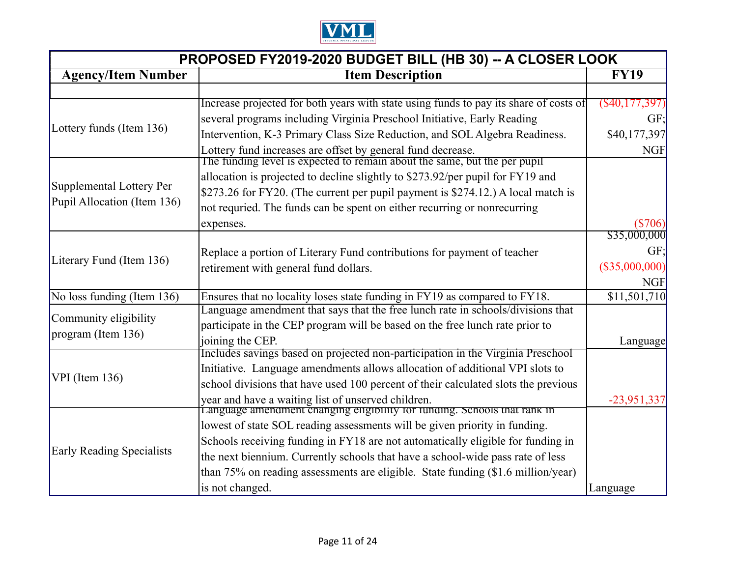

| PROPOSED FY2019-2020 BUDGET BILL (HB 30) -- A CLOSER LOOK |                                                                                                                                          |                   |
|-----------------------------------------------------------|------------------------------------------------------------------------------------------------------------------------------------------|-------------------|
| <b>Item Description</b><br><b>Agency/Item Number</b>      |                                                                                                                                          |                   |
|                                                           |                                                                                                                                          |                   |
|                                                           | Increase projected for both years with state using funds to pay its share of costs of                                                    | $($ \$40,177,397) |
| Lottery funds (Item 136)                                  | several programs including Virginia Preschool Initiative, Early Reading                                                                  | GF:               |
|                                                           | Intervention, K-3 Primary Class Size Reduction, and SOL Algebra Readiness.                                                               | \$40,177,397      |
|                                                           | Lottery fund increases are offset by general fund decrease.<br>The funding level is expected to remain about the same, but the per pupil | <b>NGF</b>        |
|                                                           |                                                                                                                                          |                   |
| Supplemental Lottery Per                                  | allocation is projected to decline slightly to \$273.92/per pupil for FY19 and                                                           |                   |
|                                                           | \$273.26 for FY20. (The current per pupil payment is \$274.12.) A local match is                                                         |                   |
| Pupil Allocation (Item 136)                               | not requried. The funds can be spent on either recurring or nonrecurring                                                                 |                   |
|                                                           | expenses.                                                                                                                                | (S706)            |
|                                                           |                                                                                                                                          | \$35,000,000      |
|                                                           | Replace a portion of Literary Fund contributions for payment of teacher                                                                  | GF:               |
| Literary Fund (Item 136)                                  | retirement with general fund dollars.                                                                                                    | (S35,000,000)     |
|                                                           |                                                                                                                                          | <b>NGF</b>        |
| No loss funding (Item 136)                                | Ensures that no locality loses state funding in FY19 as compared to FY18.                                                                | \$11,501,710      |
| Community eligibility                                     | Language amendment that says that the free lunch rate in schools/divisions that                                                          |                   |
| program (Item 136)                                        | participate in the CEP program will be based on the free lunch rate prior to                                                             |                   |
|                                                           | joining the CEP.                                                                                                                         | Language          |
|                                                           | Includes savings based on projected non-participation in the Virginia Preschool                                                          |                   |
| $VPI$ (Item 136)                                          | Initiative. Language amendments allows allocation of additional VPI slots to                                                             |                   |
|                                                           | school divisions that have used 100 percent of their calculated slots the previous                                                       |                   |
|                                                           | year and have a waiting list of unserved children.<br>Language amendment changing eligibility for funding. Schools that rank in          | $-23,951,337$     |
|                                                           |                                                                                                                                          |                   |
|                                                           | lowest of state SOL reading assessments will be given priority in funding.                                                               |                   |
|                                                           | Schools receiving funding in FY18 are not automatically eligible for funding in                                                          |                   |
| <b>Early Reading Specialists</b>                          | the next biennium. Currently schools that have a school-wide pass rate of less                                                           |                   |
|                                                           | than $75\%$ on reading assessments are eligible. State funding $(\$1.6$ million/year)                                                    |                   |
|                                                           | is not changed.                                                                                                                          | Language          |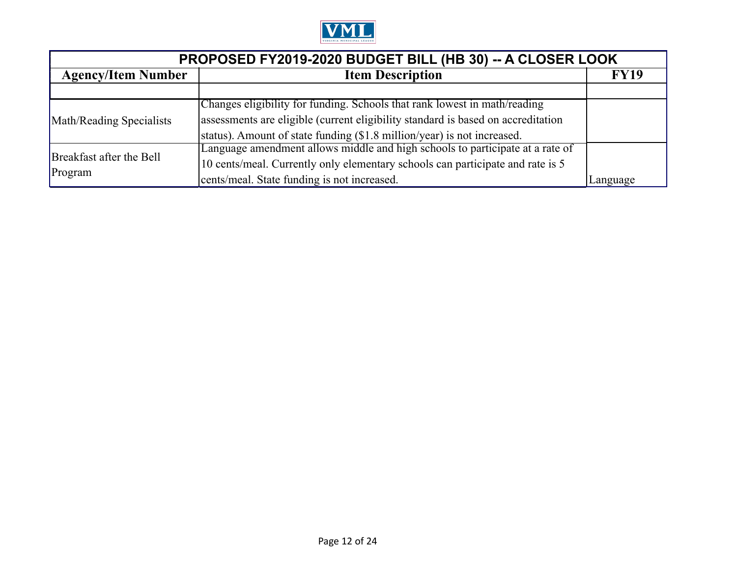

| PROPOSED FY2019-2020 BUDGET BILL (HB 30) -- A CLOSER LOOK |                                                                                  |             |
|-----------------------------------------------------------|----------------------------------------------------------------------------------|-------------|
| <b>Agency/Item Number</b>                                 | <b>Item Description</b>                                                          | <b>FY19</b> |
|                                                           |                                                                                  |             |
|                                                           | Changes eligibility for funding. Schools that rank lowest in math/reading        |             |
| Math/Reading Specialists                                  | assessments are eligible (current eligibility standard is based on accreditation |             |
|                                                           | status). Amount of state funding (\$1.8 million/year) is not increased.          |             |
|                                                           | Language amendment allows middle and high schools to participate at a rate of    |             |
| Breakfast after the Bell<br>Program                       | 10 cents/meal. Currently only elementary schools can participate and rate is 5   |             |
|                                                           | cents/meal. State funding is not increased.                                      | Language    |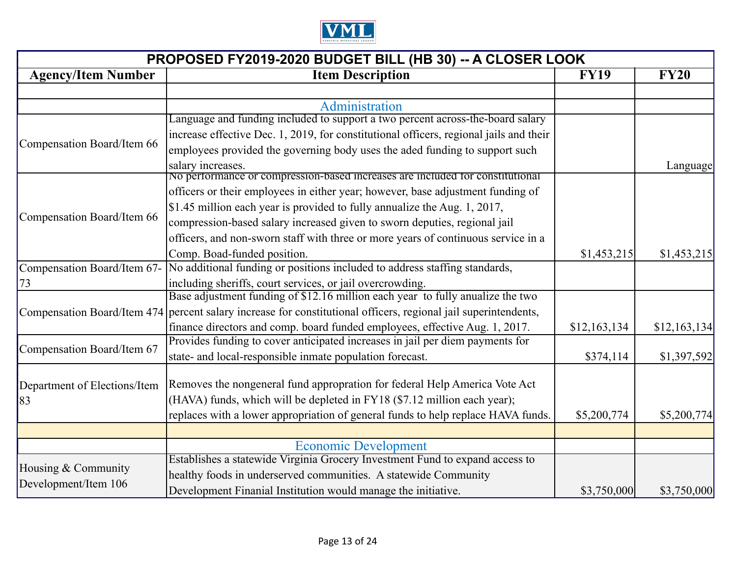

| PROPOSED FY2019-2020 BUDGET BILL (HB 30) -- A CLOSER LOOK |                                                                                                                 |              |              |
|-----------------------------------------------------------|-----------------------------------------------------------------------------------------------------------------|--------------|--------------|
| <b>Agency/Item Number</b>                                 | <b>Item Description</b>                                                                                         | <b>FY19</b>  | <b>FY20</b>  |
|                                                           |                                                                                                                 |              |              |
|                                                           | Administration                                                                                                  |              |              |
|                                                           | Language and funding included to support a two percent across-the-board salary                                  |              |              |
|                                                           | increase effective Dec. 1, 2019, for constitutional officers, regional jails and their                          |              |              |
| Compensation Board/Item 66                                | employees provided the governing body uses the aded funding to support such                                     |              |              |
|                                                           | salary increases.                                                                                               |              | Language     |
|                                                           | No performance or compression-based increases are included for constitutional                                   |              |              |
|                                                           | officers or their employees in either year; however, base adjustment funding of                                 |              |              |
|                                                           | \$1.45 million each year is provided to fully annualize the Aug. 1, 2017,                                       |              |              |
| Compensation Board/Item 66                                | compression-based salary increased given to sworn deputies, regional jail                                       |              |              |
|                                                           | officers, and non-sworn staff with three or more years of continuous service in a                               |              |              |
|                                                           | Comp. Boad-funded position.                                                                                     | \$1,453,215  | \$1,453,215  |
| Compensation Board/Item 67-                               | No additional funding or positions included to address staffing standards,                                      |              |              |
| 73                                                        | including sheriffs, court services, or jail overcrowding.                                                       |              |              |
|                                                           | Base adjustment funding of \$12.16 million each year to fully anualize the two                                  |              |              |
|                                                           | Compensation Board/Item 474 percent salary increase for constitutional officers, regional jail superintendents, |              |              |
|                                                           | finance directors and comp. board funded employees, effective Aug. 1, 2017.                                     | \$12,163,134 | \$12,163,134 |
|                                                           | Provides funding to cover anticipated increases in jail per diem payments for                                   |              |              |
| Compensation Board/Item 67                                | state- and local-responsible inmate population forecast.                                                        | \$374,114    | \$1,397,592  |
|                                                           |                                                                                                                 |              |              |
| Department of Elections/Item                              | Removes the nongeneral fund appropration for federal Help America Vote Act                                      |              |              |
| 83                                                        | (HAVA) funds, which will be depleted in FY18 (\$7.12 million each year);                                        |              |              |
|                                                           | replaces with a lower appropriation of general funds to help replace HAVA funds.                                | \$5,200,774  | \$5,200,774  |
|                                                           |                                                                                                                 |              |              |
|                                                           | <b>Economic Development</b>                                                                                     |              |              |
| Housing & Community                                       | Establishes a statewide Virginia Grocery Investment Fund to expand access to                                    |              |              |
|                                                           | healthy foods in underserved communities. A statewide Community                                                 |              |              |
| Development/Item 106                                      | Development Finanial Institution would manage the initiative.                                                   | \$3,750,000  | \$3,750,000  |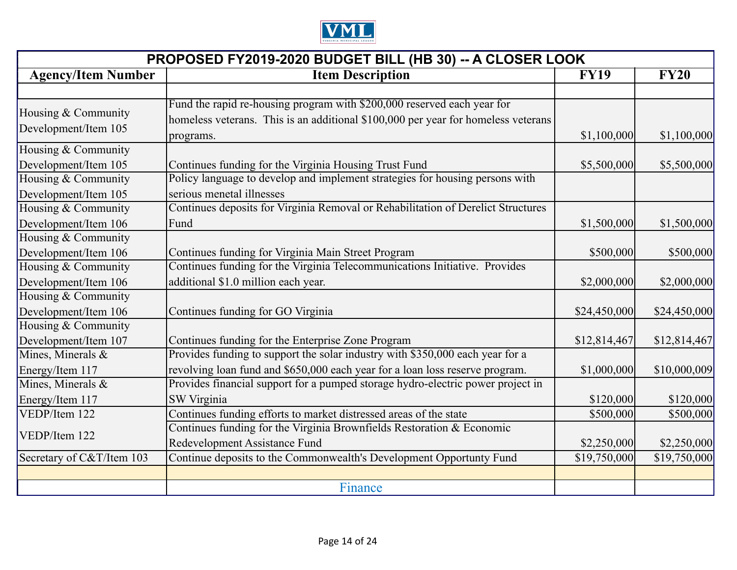

| PROPOSED FY2019-2020 BUDGET BILL (HB 30) -- A CLOSER LOOK |                                                                                                                                                              |              |              |
|-----------------------------------------------------------|--------------------------------------------------------------------------------------------------------------------------------------------------------------|--------------|--------------|
| <b>Agency/Item Number</b>                                 | <b>Item Description</b>                                                                                                                                      | <b>FY19</b>  | <b>FY20</b>  |
|                                                           |                                                                                                                                                              |              |              |
| Housing & Community<br>Development/Item 105               | Fund the rapid re-housing program with \$200,000 reserved each year for<br>homeless veterans. This is an additional \$100,000 per year for homeless veterans |              |              |
|                                                           | programs.                                                                                                                                                    | \$1,100,000  | \$1,100,000  |
| Housing & Community                                       |                                                                                                                                                              |              |              |
| Development/Item 105                                      | Continues funding for the Virginia Housing Trust Fund                                                                                                        | \$5,500,000  | \$5,500,000  |
| Housing & Community                                       | Policy language to develop and implement strategies for housing persons with                                                                                 |              |              |
| Development/Item 105                                      | serious menetal illnesses                                                                                                                                    |              |              |
| Housing & Community                                       | Continues deposits for Virginia Removal or Rehabilitation of Derelict Structures                                                                             |              |              |
| Development/Item 106                                      | Fund                                                                                                                                                         | \$1,500,000  | \$1,500,000  |
| Housing & Community                                       |                                                                                                                                                              |              |              |
| Development/Item 106                                      | Continues funding for Virginia Main Street Program                                                                                                           | \$500,000    | \$500,000    |
| Housing & Community                                       | Continues funding for the Virginia Telecommunications Initiative. Provides                                                                                   |              |              |
| Development/Item 106                                      | additional \$1.0 million each year.                                                                                                                          | \$2,000,000  | \$2,000,000  |
| Housing & Community                                       |                                                                                                                                                              |              |              |
| Development/Item 106                                      | Continues funding for GO Virginia                                                                                                                            | \$24,450,000 | \$24,450,000 |
| Housing & Community                                       |                                                                                                                                                              |              |              |
| Development/Item 107                                      | Continues funding for the Enterprise Zone Program                                                                                                            | \$12,814,467 | \$12,814,467 |
| Mines, Minerals &                                         | Provides funding to support the solar industry with \$350,000 each year for a                                                                                |              |              |
| Energy/Item 117                                           | revolving loan fund and \$650,000 each year for a loan loss reserve program.                                                                                 | \$1,000,000  | \$10,000,009 |
| Mines, Minerals &                                         | Provides financial support for a pumped storage hydro-electric power project in                                                                              |              |              |
| Energy/Item 117                                           | <b>SW Virginia</b>                                                                                                                                           | \$120,000    | \$120,000    |
| VEDP/Item 122                                             | Continues funding efforts to market distressed areas of the state                                                                                            | \$500,000    | \$500,000    |
| VEDP/Item 122                                             | Continues funding for the Virginia Brownfields Restoration & Economic                                                                                        |              |              |
|                                                           | Redevelopment Assistance Fund                                                                                                                                | \$2,250,000  | \$2,250,000  |
| Secretary of C&T/Item 103                                 | Continue deposits to the Commonwealth's Development Opportunty Fund                                                                                          | \$19,750,000 | \$19,750,000 |
|                                                           |                                                                                                                                                              |              |              |
|                                                           | Finance                                                                                                                                                      |              |              |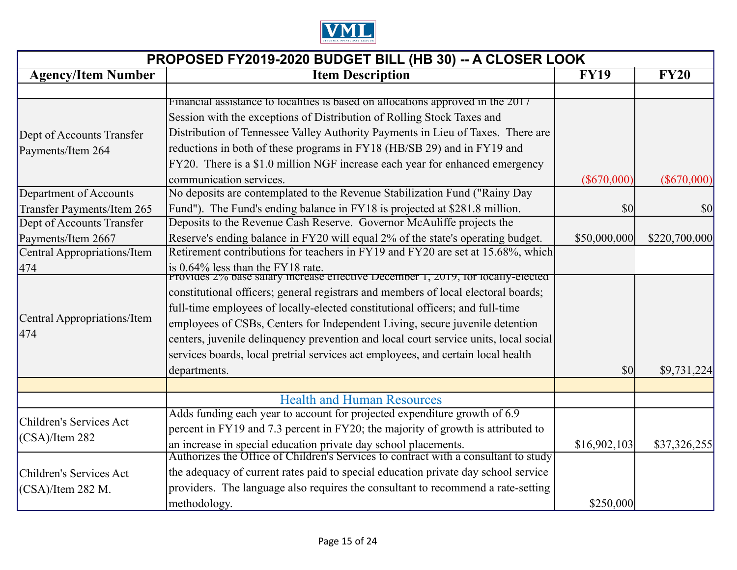

| PROPOSED FY2019-2020 BUDGET BILL (HB 30) -- A CLOSER LOOK |                                                                                      |               |               |
|-----------------------------------------------------------|--------------------------------------------------------------------------------------|---------------|---------------|
| <b>Agency/Item Number</b>                                 | <b>Item Description</b>                                                              | <b>FY19</b>   | <b>FY20</b>   |
|                                                           |                                                                                      |               |               |
|                                                           | Financial assistance to localities is based on allocations approved in the 2017      |               |               |
|                                                           | Session with the exceptions of Distribution of Rolling Stock Taxes and               |               |               |
| Dept of Accounts Transfer                                 | Distribution of Tennessee Valley Authority Payments in Lieu of Taxes. There are      |               |               |
| Payments/Item 264                                         | reductions in both of these programs in FY18 (HB/SB 29) and in FY19 and              |               |               |
|                                                           | FY20. There is a \$1.0 million NGF increase each year for enhanced emergency         |               |               |
|                                                           | communication services.                                                              | $(\$670,000)$ | $(\$670,000)$ |
| Department of Accounts                                    | No deposits are contemplated to the Revenue Stabilization Fund ("Rainy Day"          |               |               |
| <b>Transfer Payments/Item 265</b>                         | Fund"). The Fund's ending balance in FY18 is projected at \$281.8 million.           | \$0           | \$0           |
| Dept of Accounts Transfer                                 | Deposits to the Revenue Cash Reserve. Governor McAuliffe projects the                |               |               |
| Payments/Item 2667                                        | Reserve's ending balance in FY20 will equal 2% of the state's operating budget.      | \$50,000,000  | \$220,700,000 |
| Central Appropriations/Item                               | Retirement contributions for teachers in FY19 and FY20 are set at 15.68%, which      |               |               |
| 474                                                       | is 0.64% less than the FY18 rate.                                                    |               |               |
|                                                           | Provides 2% base salary increase effective December 1, 2019, for locally-elected     |               |               |
|                                                           | constitutional officers; general registrars and members of local electoral boards;   |               |               |
|                                                           | full-time employees of locally-elected constitutional officers; and full-time        |               |               |
| Central Appropriations/Item                               | employees of CSBs, Centers for Independent Living, secure juvenile detention         |               |               |
| 474                                                       | centers, juvenile delinquency prevention and local court service units, local social |               |               |
|                                                           | services boards, local pretrial services act employees, and certain local health     |               |               |
|                                                           | departments.                                                                         | \$0           | \$9,731,224   |
|                                                           |                                                                                      |               |               |
|                                                           | <b>Health and Human Resources</b>                                                    |               |               |
|                                                           | Adds funding each year to account for projected expenditure growth of 6.9            |               |               |
| Children's Services Act<br>$(CSA)/I$ tem 282              | percent in FY19 and 7.3 percent in FY20; the majority of growth is attributed to     |               |               |
|                                                           | an increase in special education private day school placements.                      | \$16,902,103  | \$37,326,255  |
|                                                           | Authorizes the Office of Children's Services to contract with a consultant to study  |               |               |
| Children's Services Act                                   | the adequacy of current rates paid to special education private day school service   |               |               |
| (CSA)/Item 282 M.                                         | providers. The language also requires the consultant to recommend a rate-setting     |               |               |
|                                                           | methodology.                                                                         | \$250,000     |               |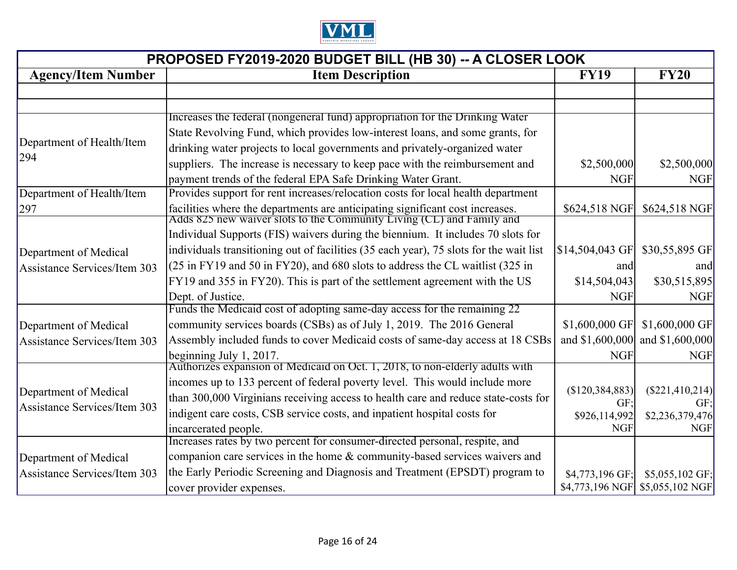

| PROPOSED FY2019-2020 BUDGET BILL (HB 30) -- A CLOSER LOOK |                                                                                                                                                        |                  |                  |
|-----------------------------------------------------------|--------------------------------------------------------------------------------------------------------------------------------------------------------|------------------|------------------|
| <b>Agency/Item Number</b>                                 | <b>Item Description</b>                                                                                                                                | <b>FY19</b>      | <b>FY20</b>      |
|                                                           |                                                                                                                                                        |                  |                  |
|                                                           |                                                                                                                                                        |                  |                  |
|                                                           | Increases the federal (nongeneral fund) appropriation for the Drinking Water                                                                           |                  |                  |
| Department of Health/Item                                 | State Revolving Fund, which provides low-interest loans, and some grants, for                                                                          |                  |                  |
| 294                                                       | drinking water projects to local governments and privately-organized water                                                                             |                  |                  |
|                                                           | suppliers. The increase is necessary to keep pace with the reimbursement and                                                                           | \$2,500,000      | \$2,500,000      |
|                                                           | payment trends of the federal EPA Safe Drinking Water Grant.                                                                                           | <b>NGF</b>       | <b>NGF</b>       |
| Department of Health/Item                                 | Provides support for rent increases/relocation costs for local health department                                                                       |                  |                  |
| 297                                                       | facilities where the departments are anticipating significant cost increases.<br>Adds 825 new waiver slots to the Community Living (CL) and Family and | \$624,518 NGF    | \$624,518 NGF    |
|                                                           | Individual Supports (FIS) waivers during the biennium. It includes 70 slots for                                                                        |                  |                  |
| Department of Medical                                     | individuals transitioning out of facilities (35 each year), 75 slots for the wait list                                                                 | \$14,504,043 GF  | \$30,55,895 GF   |
| <b>Assistance Services/Item 303</b>                       | (25 in FY19 and 50 in FY20), and 680 slots to address the CL waitlist (325 in                                                                          | and              | and              |
|                                                           | FY19 and 355 in FY20). This is part of the settlement agreement with the US                                                                            | \$14,504,043     | \$30,515,895     |
|                                                           | Dept. of Justice.                                                                                                                                      | <b>NGF</b>       | <b>NGF</b>       |
|                                                           | Funds the Medicaid cost of adopting same-day access for the remaining 22                                                                               |                  |                  |
| Department of Medical                                     | community services boards (CSBs) as of July 1, 2019. The 2016 General                                                                                  | \$1,600,000 GF   | \$1,600,000 GF   |
| <b>Assistance Services/Item 303</b>                       | Assembly included funds to cover Medicaid costs of same-day access at 18 CSBs                                                                          | and \$1,600,000  | and \$1,600,000  |
|                                                           | beginning July 1, 2017.                                                                                                                                | <b>NGF</b>       | <b>NGF</b>       |
|                                                           | Authorizes expansion of Medicaid on Oct. 1, 2018, to non-elderly adults with                                                                           |                  |                  |
|                                                           | incomes up to 133 percent of federal poverty level. This would include more                                                                            | (S120, 384, 883) | (S221, 410, 214) |
| Department of Medical                                     | than 300,000 Virginians receiving access to health care and reduce state-costs for                                                                     | GF:              | GF:              |
| Assistance Services/Item 303                              | indigent care costs, CSB service costs, and inpatient hospital costs for                                                                               | \$926,114,992    | \$2,236,379,476  |
|                                                           | incarcerated people.                                                                                                                                   | <b>NGF</b>       | <b>NGF</b>       |
|                                                           | Increases rates by two percent for consumer-directed personal, respite, and                                                                            |                  |                  |
| Department of Medical                                     | companion care services in the home & community-based services waivers and                                                                             |                  |                  |
| Assistance Services/Item 303                              | the Early Periodic Screening and Diagnosis and Treatment (EPSDT) program to                                                                            | \$4,773,196 GF;  | $$5,055,102$ GF; |
|                                                           | cover provider expenses.                                                                                                                               | \$4,773,196 NGF  | \$5,055,102 NGF  |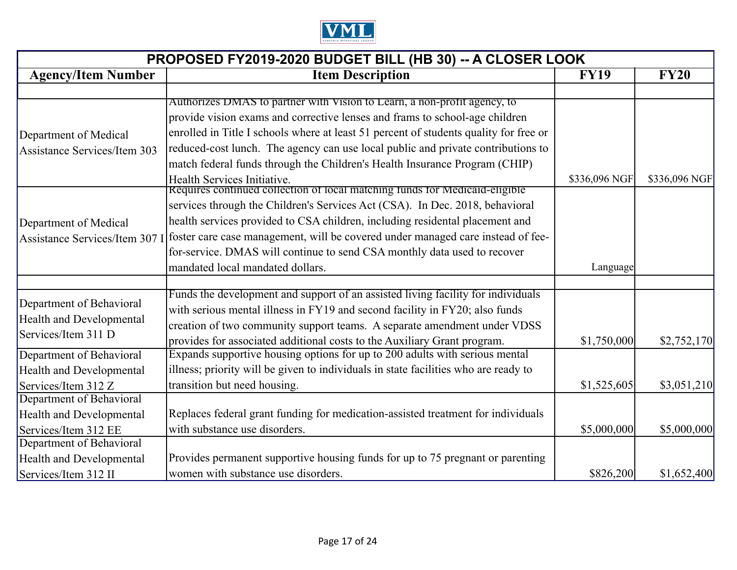

| PROPOSED FY2019-2020 BUDGET BILL (HB 30) -- A CLOSER LOOK |                                                                                       |               |               |
|-----------------------------------------------------------|---------------------------------------------------------------------------------------|---------------|---------------|
| <b>Agency/Item Number</b>                                 | <b>Item Description</b>                                                               | <b>FY19</b>   | <b>FY20</b>   |
|                                                           |                                                                                       |               |               |
|                                                           | Authorizes DMAS to partner with Vision to Learn, a non-profit agency, to              |               |               |
|                                                           | provide vision exams and corrective lenses and frams to school-age children           |               |               |
| Department of Medical                                     | enrolled in Title I schools where at least 51 percent of students quality for free or |               |               |
| <b>Assistance Services/Item 303</b>                       | reduced-cost lunch. The agency can use local public and private contributions to      |               |               |
|                                                           | match federal funds through the Children's Health Insurance Program (CHIP)            |               |               |
|                                                           | Health Services Initiative.                                                           | \$336,096 NGF | \$336,096 NGF |
|                                                           | Requires continued collection of local matching funds for Medicald-eligible           |               |               |
|                                                           | services through the Children's Services Act (CSA). In Dec. 2018, behavioral          |               |               |
| Department of Medical                                     | health services provided to CSA children, including residental placement and          |               |               |
| Assistance Services/Item 307 I                            | foster care case management, will be covered under managed care instead of fee-       |               |               |
|                                                           | for-service. DMAS will continue to send CSA monthly data used to recover              |               |               |
|                                                           | mandated local mandated dollars.                                                      | Language      |               |
|                                                           |                                                                                       |               |               |
|                                                           | Funds the development and support of an assisted living facility for individuals      |               |               |
| Department of Behavioral                                  | with serious mental illness in FY19 and second facility in FY20; also funds           |               |               |
| <b>Health and Developmental</b>                           | creation of two community support teams. A separate amendment under VDSS              |               |               |
| Services/Item 311 D                                       | provides for associated additional costs to the Auxiliary Grant program.              | \$1,750,000   | \$2,752,170   |
| Department of Behavioral                                  | Expands supportive housing options for up to 200 adults with serious mental           |               |               |
| <b>Health and Developmental</b>                           | illness; priority will be given to individuals in state facilities who are ready to   |               |               |
| Services/Item 312 Z                                       | transition but need housing.                                                          | \$1,525,605   | \$3,051,210   |
| Department of Behavioral                                  |                                                                                       |               |               |
| <b>Health and Developmental</b>                           | Replaces federal grant funding for medication-assisted treatment for individuals      |               |               |
| Services/Item 312 EE                                      | with substance use disorders.                                                         | \$5,000,000   | \$5,000,000   |
| Department of Behavioral                                  |                                                                                       |               |               |
| <b>Health and Developmental</b>                           | Provides permanent supportive housing funds for up to 75 pregnant or parenting        |               |               |
| Services/Item 312 II                                      | women with substance use disorders.                                                   | \$826,200     | \$1,652,400   |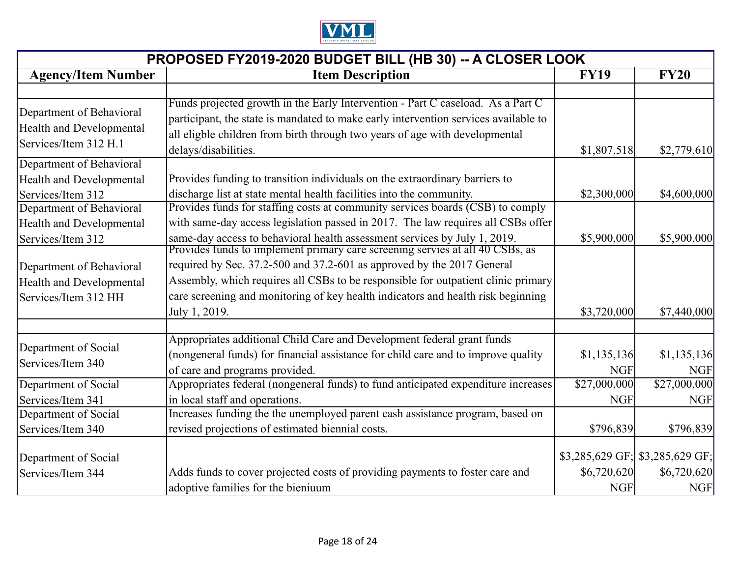

| PROPOSED FY2019-2020 BUDGET BILL (HB 30) -- A CLOSER LOOK                            |                                                                                                                                                                                                                                                                               |                           |                                   |
|--------------------------------------------------------------------------------------|-------------------------------------------------------------------------------------------------------------------------------------------------------------------------------------------------------------------------------------------------------------------------------|---------------------------|-----------------------------------|
| <b>Agency/Item Number</b>                                                            | <b>Item Description</b>                                                                                                                                                                                                                                                       | <b>FY19</b>               | <b>FY20</b>                       |
|                                                                                      |                                                                                                                                                                                                                                                                               |                           |                                   |
| Department of Behavioral<br><b>Health and Developmental</b><br>Services/Item 312 H.1 | Funds projected growth in the Early Intervention - Part C caseload. As a Part C<br>participant, the state is mandated to make early intervention services available to<br>all eligble children from birth through two years of age with developmental<br>delays/disabilities. | \$1,807,518               | \$2,779,610                       |
| Department of Behavioral                                                             |                                                                                                                                                                                                                                                                               |                           |                                   |
| <b>Health and Developmental</b><br>Services/Item 312                                 | Provides funding to transition individuals on the extraordinary barriers to<br>discharge list at state mental health facilities into the community.                                                                                                                           | \$2,300,000               | \$4,600,000                       |
| Department of Behavioral<br><b>Health and Developmental</b>                          | Provides funds for staffing costs at community services boards (CSB) to comply<br>with same-day access legislation passed in 2017. The law requires all CSBs offer                                                                                                            |                           |                                   |
| Services/Item 312                                                                    | same-day access to behavioral health assessment services by July 1, 2019.<br>Provides funds to implement primary care screening servies at all 40 CSBs, as                                                                                                                    | \$5,900,000               | \$5,900,000                       |
| Department of Behavioral                                                             | required by Sec. 37.2-500 and 37.2-601 as approved by the 2017 General                                                                                                                                                                                                        |                           |                                   |
| <b>Health and Developmental</b>                                                      | Assembly, which requires all CSBs to be responsible for outpatient clinic primary                                                                                                                                                                                             |                           |                                   |
| Services/Item 312 HH                                                                 | care screening and monitoring of key health indicators and health risk beginning<br>July 1, 2019.                                                                                                                                                                             | \$3,720,000               | \$7,440,000                       |
| Department of Social<br>Services/Item 340                                            | Appropriates additional Child Care and Development federal grant funds<br>(nongeneral funds) for financial assistance for child care and to improve quality<br>of care and programs provided.                                                                                 | \$1,135,136<br><b>NGF</b> | \$1,135,136<br><b>NGF</b>         |
| Department of Social                                                                 | Appropriates federal (nongeneral funds) to fund anticipated expenditure increases                                                                                                                                                                                             | \$27,000,000              | \$27,000,000                      |
| Services/Item 341                                                                    | in local staff and operations.                                                                                                                                                                                                                                                | <b>NGF</b>                | <b>NGF</b>                        |
| Department of Social                                                                 | Increases funding the the unemployed parent cash assistance program, based on                                                                                                                                                                                                 |                           |                                   |
| Services/Item 340                                                                    | revised projections of estimated biennial costs.                                                                                                                                                                                                                              | \$796,839                 | \$796,839                         |
| Department of Social                                                                 |                                                                                                                                                                                                                                                                               |                           | $$3,285,629$ GF; $$3,285,629$ GF; |
| Services/Item 344                                                                    | Adds funds to cover projected costs of providing payments to foster care and<br>adoptive families for the bieniuum                                                                                                                                                            | \$6,720,620<br><b>NGF</b> | \$6,720,620<br><b>NGF</b>         |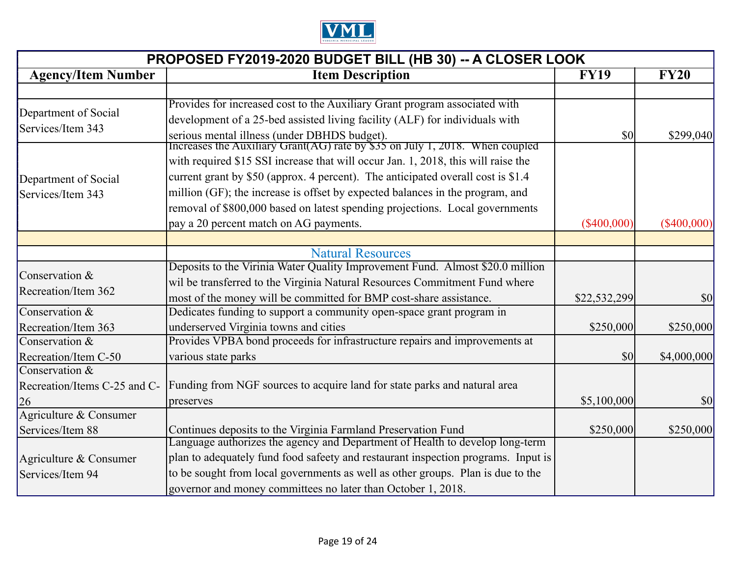

| PROPOSED FY2019-2020 BUDGET BILL (HB 30) -- A CLOSER LOOK |                                                                                                                                               |               |               |
|-----------------------------------------------------------|-----------------------------------------------------------------------------------------------------------------------------------------------|---------------|---------------|
| <b>Agency/Item Number</b>                                 | <b>Item Description</b>                                                                                                                       | <b>FY19</b>   | <b>FY20</b>   |
|                                                           |                                                                                                                                               |               |               |
| Department of Social                                      | Provides for increased cost to the Auxiliary Grant program associated with                                                                    |               |               |
| Services/Item 343                                         | development of a 25-bed assisted living facility (ALF) for individuals with                                                                   |               |               |
|                                                           | serious mental illness (under DBHDS budget).<br>Increases the Auxiliary Grant(AG) rate by \$35 on July 1, 2018. When coupled                  | \$0           | \$299,040     |
|                                                           | with required \$15 SSI increase that will occur Jan. 1, 2018, this will raise the                                                             |               |               |
|                                                           | current grant by \$50 (approx. 4 percent). The anticipated overall cost is \$1.4                                                              |               |               |
| Department of Social                                      | million (GF); the increase is offset by expected balances in the program, and                                                                 |               |               |
| Services/Item 343                                         | removal of \$800,000 based on latest spending projections. Local governments                                                                  |               |               |
|                                                           | pay a 20 percent match on AG payments.                                                                                                        |               |               |
|                                                           |                                                                                                                                               | $(\$400,000)$ | $(\$400,000)$ |
|                                                           | <b>Natural Resources</b>                                                                                                                      |               |               |
|                                                           | Deposits to the Virinia Water Quality Improvement Fund. Almost \$20.0 million                                                                 |               |               |
| Conservation $&$                                          | wil be transferred to the Virginia Natural Resources Commitment Fund where                                                                    |               |               |
| Recreation/Item 362                                       | most of the money will be committed for BMP cost-share assistance.                                                                            | \$22,532,299  | \$0           |
| Conservation $&$                                          | Dedicates funding to support a community open-space grant program in                                                                          |               |               |
| Recreation/Item 363                                       | underserved Virginia towns and cities                                                                                                         | \$250,000     | \$250,000     |
| Conservation $&$                                          | Provides VPBA bond proceeds for infrastructure repairs and improvements at                                                                    |               |               |
| Recreation/Item C-50                                      | various state parks                                                                                                                           | \$0           | \$4,000,000   |
| Conservation $&$                                          |                                                                                                                                               |               |               |
| Recreation/Items C-25 and C-                              | Funding from NGF sources to acquire land for state parks and natural area                                                                     |               |               |
| 26                                                        | preserves                                                                                                                                     | \$5,100,000   | \$0           |
| Agriculture & Consumer                                    |                                                                                                                                               |               |               |
| Services/Item 88                                          | Continues deposits to the Virginia Farmland Preservation Fund<br>Language authorizes the agency and Department of Health to develop long-term | \$250,000     | \$250,000     |
|                                                           |                                                                                                                                               |               |               |
| Agriculture & Consumer                                    | plan to adequately fund food safeety and restaurant inspection programs. Input is                                                             |               |               |
| Services/Item 94                                          | to be sought from local governments as well as other groups. Plan is due to the                                                               |               |               |
|                                                           | governor and money committees no later than October 1, 2018.                                                                                  |               |               |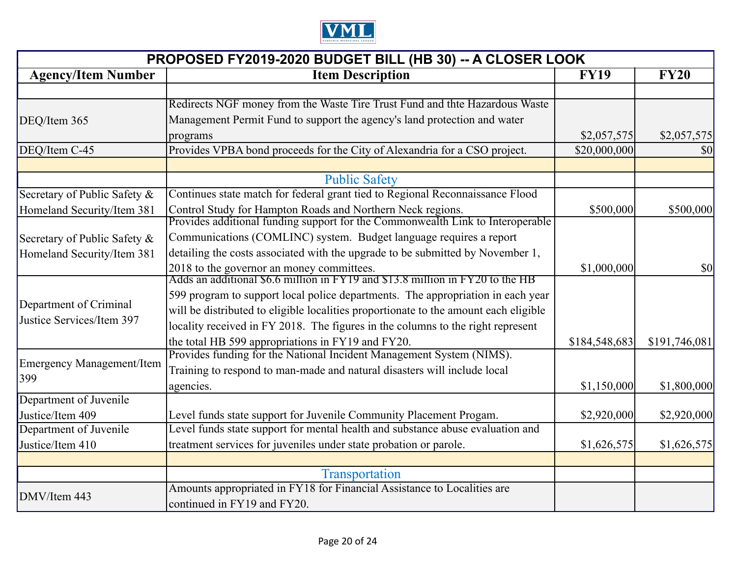

| PROPOSED FY2019-2020 BUDGET BILL (HB 30) -- A CLOSER LOOK |                                                                                                                            |               |               |
|-----------------------------------------------------------|----------------------------------------------------------------------------------------------------------------------------|---------------|---------------|
| <b>Agency/Item Number</b>                                 | <b>Item Description</b><br><b>FY19</b>                                                                                     |               |               |
|                                                           |                                                                                                                            |               |               |
|                                                           | Redirects NGF money from the Waste Tire Trust Fund and thte Hazardous Waste                                                |               |               |
| DEQ/Item 365                                              | Management Permit Fund to support the agency's land protection and water                                                   |               |               |
|                                                           | programs                                                                                                                   | \$2,057,575   | \$2,057,575   |
| DEQ/Item C-45                                             | Provides VPBA bond proceeds for the City of Alexandria for a CSO project.                                                  | \$20,000,000  | \$0           |
|                                                           |                                                                                                                            |               |               |
|                                                           | <b>Public Safety</b>                                                                                                       |               |               |
| Secretary of Public Safety &                              | Continues state match for federal grant tied to Regional Reconnaissance Flood                                              |               |               |
| Homeland Security/Item 381                                | Control Study for Hampton Roads and Northern Neck regions.                                                                 | \$500,000     | \$500,000     |
|                                                           | Provides additional funding support for the Commonwealth Link to Interoperable                                             |               |               |
| Secretary of Public Safety &                              | Communications (COMLINC) system. Budget language requires a report                                                         |               |               |
| Homeland Security/Item 381                                | detailing the costs associated with the upgrade to be submitted by November 1,                                             |               |               |
|                                                           | 2018 to the governor an money committees.<br>Adds an additional \$6.6 million in FY19 and \$13.8 million in FY20 to the HB | \$1,000,000   | \$0           |
|                                                           |                                                                                                                            |               |               |
| Department of Criminal                                    | 599 program to support local police departments. The appropriation in each year                                            |               |               |
| Justice Services/Item 397                                 | will be distributed to eligible localities proportionate to the amount each eligible                                       |               |               |
|                                                           | locality received in FY 2018. The figures in the columns to the right represent                                            |               |               |
|                                                           | the total HB 599 appropriations in FY19 and FY20.                                                                          | \$184,548,683 | \$191,746,081 |
| Emergency Management/Item                                 | Provides funding for the National Incident Management System (NIMS).                                                       |               |               |
| 399                                                       | Training to respond to man-made and natural disasters will include local                                                   |               |               |
|                                                           | agencies.                                                                                                                  | \$1,150,000   | \$1,800,000   |
| Department of Juvenile                                    |                                                                                                                            |               |               |
| Justice/Item 409                                          | Level funds state support for Juvenile Community Placement Progam.                                                         | \$2,920,000   | \$2,920,000   |
| Department of Juvenile                                    | Level funds state support for mental health and substance abuse evaluation and                                             |               |               |
| Justice/Item 410                                          | treatment services for juveniles under state probation or parole.                                                          | \$1,626,575   | \$1,626,575   |
|                                                           |                                                                                                                            |               |               |
|                                                           | Transportation                                                                                                             |               |               |
| DMV/Item 443                                              | Amounts appropriated in FY18 for Financial Assistance to Localities are                                                    |               |               |
|                                                           | continued in FY19 and FY20.                                                                                                |               |               |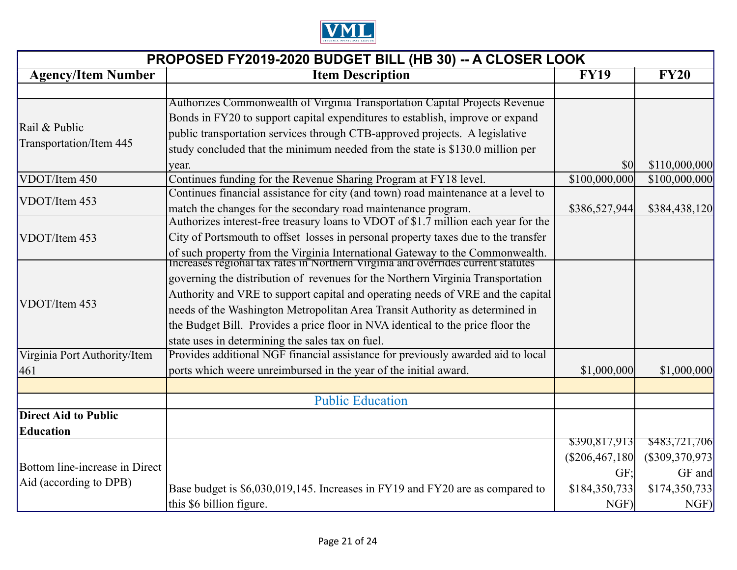

| PROPOSED FY2019-2020 BUDGET BILL (HB 30) -- A CLOSER LOOK |                                                                                                                                                                   |                                     |                  |
|-----------------------------------------------------------|-------------------------------------------------------------------------------------------------------------------------------------------------------------------|-------------------------------------|------------------|
| <b>Agency/Item Number</b>                                 | <b>Item Description</b>                                                                                                                                           | <b>FY19</b>                         | <b>FY20</b>      |
|                                                           |                                                                                                                                                                   |                                     |                  |
|                                                           | Authorizes Commonwealth of Virginia Transportation Capital Projects Revenue                                                                                       |                                     |                  |
| Rail & Public                                             | Bonds in FY20 to support capital expenditures to establish, improve or expand                                                                                     |                                     |                  |
| Transportation/Item 445                                   | public transportation services through CTB-approved projects. A legislative                                                                                       |                                     |                  |
|                                                           | study concluded that the minimum needed from the state is \$130.0 million per                                                                                     |                                     |                  |
|                                                           | year.                                                                                                                                                             | $\vert \mathbf{S} \mathbf{O} \vert$ | \$110,000,000    |
| VDOT/Item 450                                             | Continues funding for the Revenue Sharing Program at FY18 level.                                                                                                  | \$100,000,000                       | \$100,000,000    |
| VDOT/Item 453                                             | Continues financial assistance for city (and town) road maintenance at a level to                                                                                 |                                     |                  |
|                                                           | match the changes for the secondary road maintenance program.                                                                                                     | \$386,527,944                       | \$384,438,120    |
|                                                           | Authorizes interest-free treasury loans to VDOT of \$1.7 million each year for the                                                                                |                                     |                  |
| VDOT/Item 453                                             | City of Portsmouth to offset losses in personal property taxes due to the transfer                                                                                |                                     |                  |
|                                                           | of such property from the Virginia International Gateway to the Commonwealth.<br>Increases regional tax rates in Northern Virginia and overrides current statutes |                                     |                  |
|                                                           |                                                                                                                                                                   |                                     |                  |
|                                                           | governing the distribution of revenues for the Northern Virginia Transportation                                                                                   |                                     |                  |
| VDOT/Item 453                                             | Authority and VRE to support capital and operating needs of VRE and the capital                                                                                   |                                     |                  |
|                                                           | needs of the Washington Metropolitan Area Transit Authority as determined in                                                                                      |                                     |                  |
|                                                           | the Budget Bill. Provides a price floor in NVA identical to the price floor the                                                                                   |                                     |                  |
|                                                           | state uses in determining the sales tax on fuel.                                                                                                                  |                                     |                  |
| Virginia Port Authority/Item                              | Provides additional NGF financial assistance for previously awarded aid to local                                                                                  |                                     |                  |
| 461                                                       | ports which weere unreimbursed in the year of the initial award.                                                                                                  | \$1,000,000                         | \$1,000,000      |
|                                                           |                                                                                                                                                                   |                                     |                  |
|                                                           | <b>Public Education</b>                                                                                                                                           |                                     |                  |
| <b>Direct Aid to Public</b>                               |                                                                                                                                                                   |                                     |                  |
| Education                                                 |                                                                                                                                                                   |                                     |                  |
|                                                           |                                                                                                                                                                   | \$390,817,913                       | \$483,721,706    |
| Bottom line-increase in Direct                            |                                                                                                                                                                   | (\$206,467,180]                     | (S309, 370, 973) |
|                                                           |                                                                                                                                                                   | GF:                                 | GF and           |
| Aid (according to DPB)                                    | Base budget is \$6,030,019,145. Increases in FY19 and FY20 are as compared to                                                                                     | \$184,350,733                       | \$174,350,733    |
|                                                           | this \$6 billion figure.                                                                                                                                          | NGF)                                | NGF)             |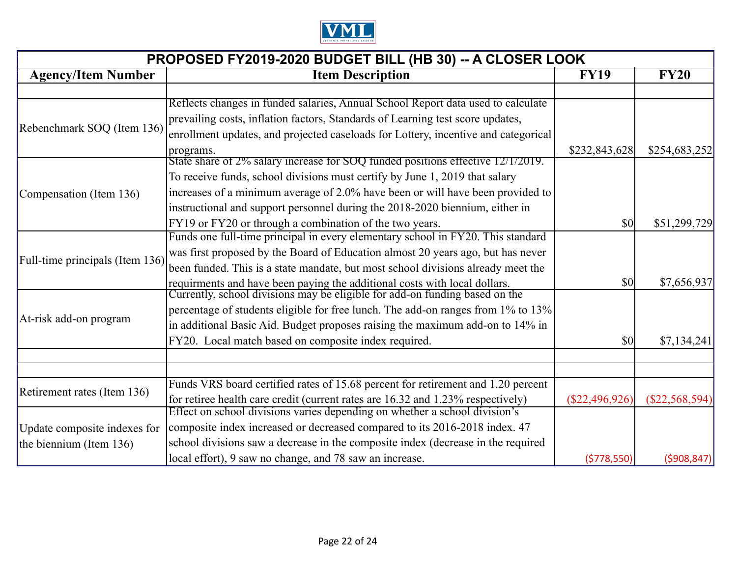

| PROPOSED FY2019-2020 BUDGET BILL (HB 30) -- A CLOSER LOOK |                                                                                                                                                               |                                     |                  |
|-----------------------------------------------------------|---------------------------------------------------------------------------------------------------------------------------------------------------------------|-------------------------------------|------------------|
| <b>Agency/Item Number</b>                                 | <b>Item Description</b>                                                                                                                                       | <b>FY19</b>                         | <b>FY20</b>      |
|                                                           |                                                                                                                                                               |                                     |                  |
|                                                           | Reflects changes in funded salaries, Annual School Report data used to calculate                                                                              |                                     |                  |
| Rebenchmark SOQ (Item 136)                                | prevailing costs, inflation factors, Standards of Learning test score updates,                                                                                |                                     |                  |
|                                                           | enrollment updates, and projected caseloads for Lottery, incentive and categorical                                                                            |                                     |                  |
|                                                           | programs.                                                                                                                                                     | \$232,843,628                       | \$254,683,252    |
|                                                           | State share of 2% salary increase for SOQ funded positions effective 12/1/2019.                                                                               |                                     |                  |
|                                                           | To receive funds, school divisions must certify by June 1, 2019 that salary                                                                                   |                                     |                  |
| Compensation (Item 136)                                   | increases of a minimum average of 2.0% have been or will have been provided to                                                                                |                                     |                  |
|                                                           | instructional and support personnel during the 2018-2020 biennium, either in                                                                                  |                                     |                  |
|                                                           | FY19 or FY20 or through a combination of the two years.                                                                                                       | \$0                                 | \$51,299,729     |
|                                                           | Funds one full-time principal in every elementary school in FY20. This standard                                                                               |                                     |                  |
|                                                           | was first proposed by the Board of Education almost 20 years ago, but has never                                                                               |                                     |                  |
| Full-time principals (Item 136)                           | been funded. This is a state mandate, but most school divisions already meet the                                                                              |                                     |                  |
|                                                           | requirments and have been paying the additional costs with local dollars.<br>Currently, school divisions may be eligible for add-on funding based on the      | $\vert \mathbf{S} \mathbf{0} \vert$ | \$7,656,937      |
|                                                           |                                                                                                                                                               |                                     |                  |
|                                                           | percentage of students eligible for free lunch. The add-on ranges from 1% to 13%                                                                              |                                     |                  |
| At-risk add-on program                                    | in additional Basic Aid. Budget proposes raising the maximum add-on to 14% in                                                                                 |                                     |                  |
|                                                           | FY20. Local match based on composite index required.                                                                                                          | \$0                                 | \$7,134,241      |
|                                                           |                                                                                                                                                               |                                     |                  |
|                                                           |                                                                                                                                                               |                                     |                  |
| Retirement rates (Item 136)                               | Funds VRS board certified rates of 15.68 percent for retirement and 1.20 percent                                                                              |                                     |                  |
|                                                           | for retiree health care credit (current rates are 16.32 and 1.23% respectively)<br>Effect on school divisions varies depending on whether a school division's | $(\$22,496,926)$                    | $(\$22,568,594)$ |
|                                                           |                                                                                                                                                               |                                     |                  |
| Update composite indexes for                              | composite index increased or decreased compared to its 2016-2018 index. 47                                                                                    |                                     |                  |
| the biennium (Item 136)                                   | school divisions saw a decrease in the composite index (decrease in the required                                                                              |                                     |                  |
|                                                           | local effort), 9 saw no change, and 78 saw an increase.                                                                                                       | (5778, 550)                         | (5908, 847)      |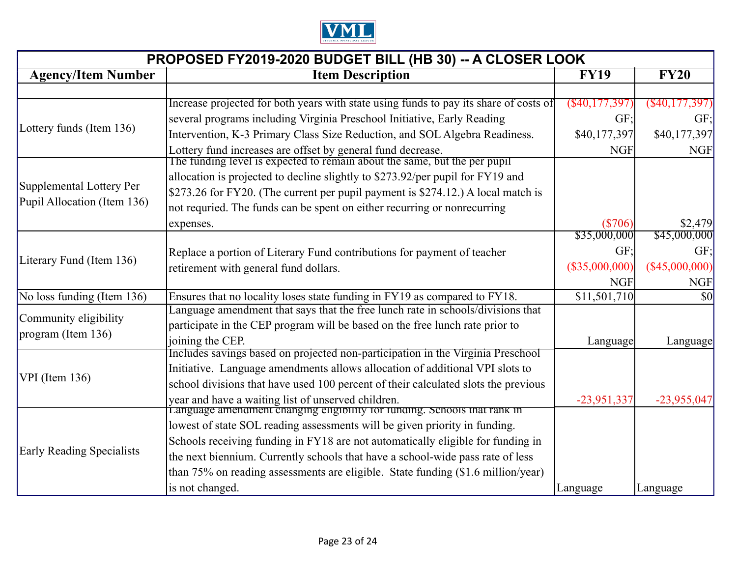

| PROPOSED FY2019-2020 BUDGET BILL (HB 30) -- A CLOSER LOOK |                                                                                                                                          |                  |                   |
|-----------------------------------------------------------|------------------------------------------------------------------------------------------------------------------------------------------|------------------|-------------------|
| <b>Agency/Item Number</b>                                 | <b>Item Description</b>                                                                                                                  | <b>FY19</b>      | <b>FY20</b>       |
|                                                           |                                                                                                                                          |                  |                   |
|                                                           | Increase projected for both years with state using funds to pay its share of costs of                                                    | (S40, 177, 397)  | $($ \$40,177,397) |
| Lottery funds (Item 136)                                  | several programs including Virginia Preschool Initiative, Early Reading                                                                  | GF:              | GF;               |
|                                                           | Intervention, K-3 Primary Class Size Reduction, and SOL Algebra Readiness.                                                               | \$40,177,397     | \$40,177,397      |
|                                                           | Lottery fund increases are offset by general fund decrease.<br>The funding level is expected to remain about the same, but the per pupil | <b>NGF</b>       | <b>NGF</b>        |
|                                                           |                                                                                                                                          |                  |                   |
| Supplemental Lottery Per                                  | allocation is projected to decline slightly to \$273.92/per pupil for FY19 and                                                           |                  |                   |
| Pupil Allocation (Item 136)                               | \$273.26 for FY20. (The current per pupil payment is \$274.12.) A local match is                                                         |                  |                   |
|                                                           | not requried. The funds can be spent on either recurring or nonrecurring                                                                 |                  |                   |
|                                                           | expenses.                                                                                                                                | (\$706)          | \$2,479           |
|                                                           |                                                                                                                                          | \$35,000,000     | \$45,000,000      |
| Literary Fund (Item 136)                                  | Replace a portion of Literary Fund contributions for payment of teacher                                                                  | GF:              | GF:               |
|                                                           | retirement with general fund dollars.                                                                                                    | $(\$35,000,000)$ | $(\$45,000,000)$  |
|                                                           |                                                                                                                                          | <b>NGF</b>       | <b>NGF</b>        |
| No loss funding (Item 136)                                | Ensures that no locality loses state funding in FY19 as compared to FY18.                                                                | \$11,501,710     | \$0               |
| Community eligibility                                     | Language amendment that says that the free lunch rate in schools/divisions that                                                          |                  |                   |
| program (Item 136)                                        | participate in the CEP program will be based on the free lunch rate prior to                                                             |                  |                   |
|                                                           | joining the CEP.                                                                                                                         | Language         | Language          |
|                                                           | Includes savings based on projected non-participation in the Virginia Preschool                                                          |                  |                   |
| $VPI$ (Item 136)                                          | Initiative. Language amendments allows allocation of additional VPI slots to                                                             |                  |                   |
|                                                           | school divisions that have used 100 percent of their calculated slots the previous                                                       |                  |                   |
|                                                           | year and have a waiting list of unserved children.<br>Language amendment changing eligibility for funding. Schools that rank in          | $-23,951,337$    | $-23,955,047$     |
|                                                           |                                                                                                                                          |                  |                   |
|                                                           | lowest of state SOL reading assessments will be given priority in funding.                                                               |                  |                   |
| <b>Early Reading Specialists</b>                          | Schools receiving funding in FY18 are not automatically eligible for funding in                                                          |                  |                   |
|                                                           | the next biennium. Currently schools that have a school-wide pass rate of less                                                           |                  |                   |
|                                                           | than $75\%$ on reading assessments are eligible. State funding $(\$1.6$ million/year)                                                    |                  |                   |
|                                                           | is not changed.                                                                                                                          | Language         | Language          |